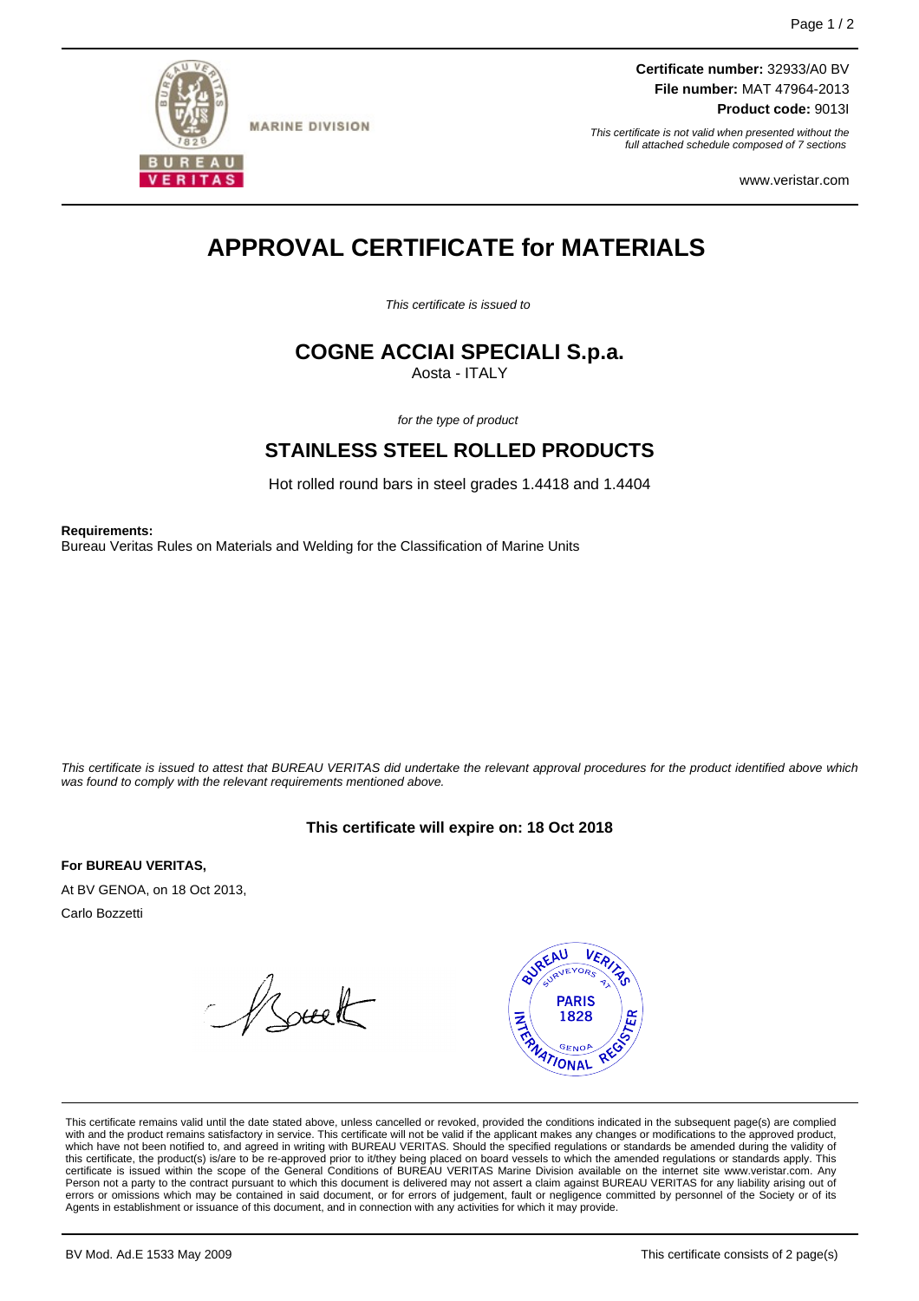

**MARINE DIVISION** 

**Certificate number:** 32933/A0 BV **File number:** MAT 47964-2013 **Product code:** 9013I

This certificate is not valid when presented without the full attached schedule composed of 7 sections

www.veristar.com

# **APPROVAL CERTIFICATE for MATERIALS**

This certificate is issued to

## **COGNE ACCIAI SPECIALI S.p.a.**

Aosta - ITALY

for the type of product

### **STAINLESS STEEL ROLLED PRODUCTS**

Hot rolled round bars in steel grades 1.4418 and 1.4404

**Requirements:**

Bureau Veritas Rules on Materials and Welding for the Classification of Marine Units

This certificate is issued to attest that BUREAU VERITAS did undertake the relevant approval procedures for the product identified above which was found to comply with the relevant requirements mentioned above.

### **This certificate will expire on: 18 Oct 2018**

**For BUREAU VERITAS,**

At BV GENOA, on 18 Oct 2013, Carlo Bozzetti

Asuelt



This certificate remains valid until the date stated above, unless cancelled or revoked, provided the conditions indicated in the subsequent page(s) are complied with and the product remains satisfactory in service. This certificate will not be valid if the applicant makes any changes or modifications to the approved product,<br>this certificate, the product(s) is/are to be re-approve Person not a party to the contract pursuant to which this document is delivered may not assert a claim against BUREAU VERITAS for any liability arising out of errors or omissions which may be contained in said document, or for errors of judgement, fault or negligence committed by personnel of the Society or of its Agents in establishment or issuance of this document, and in connection with any activities for which it may provide.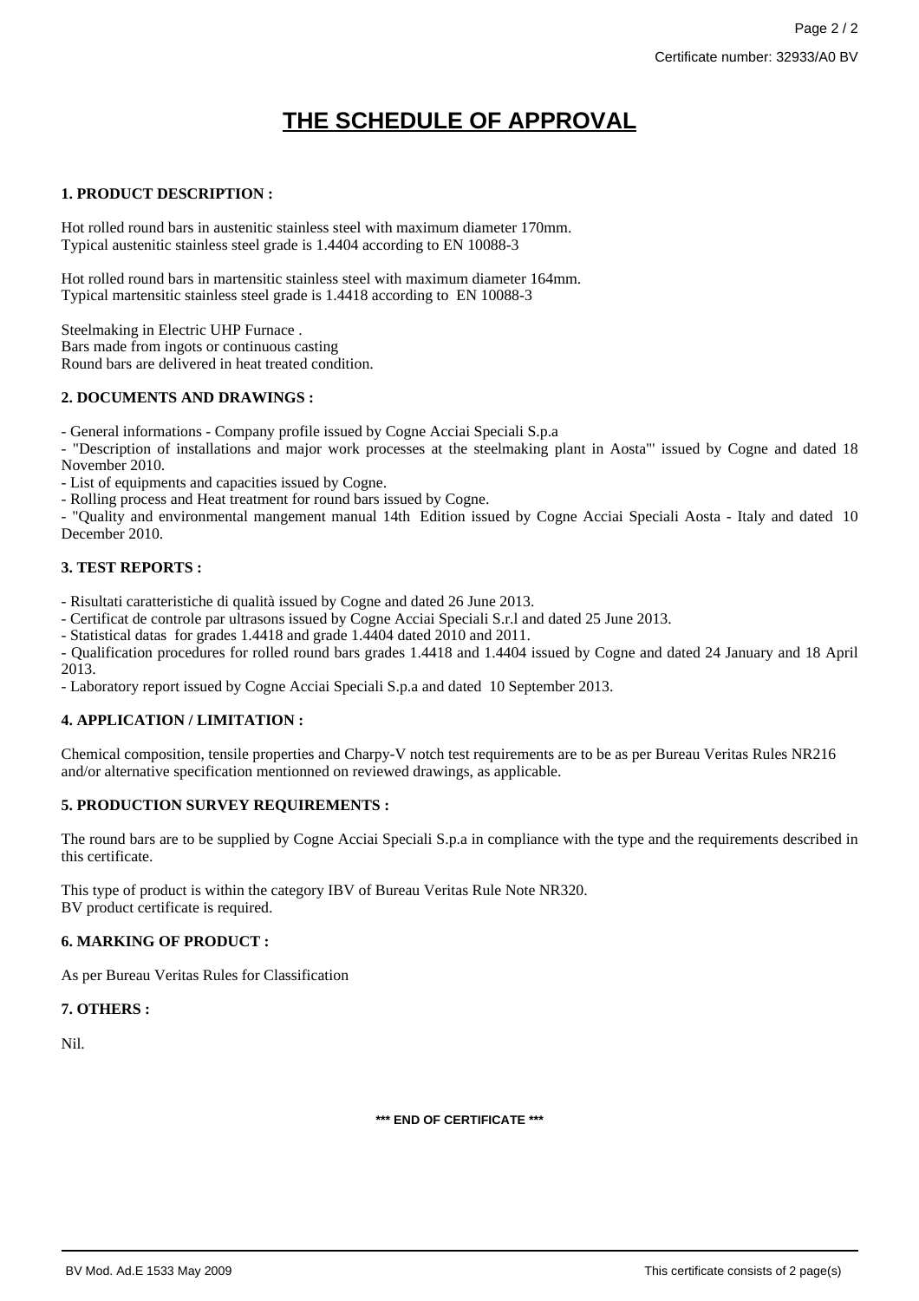## **THE SCHEDULE OF APPROVAL**

### **1. PRODUCT DESCRIPTION :**

Hot rolled round bars in austenitic stainless steel with maximum diameter 170mm. Typical austenitic stainless steel grade is 1.4404 according to EN 10088-3

Hot rolled round bars in martensitic stainless steel with maximum diameter 164mm. Typical martensitic stainless steel grade is 1.4418 according to EN 10088-3

Steelmaking in Electric UHP Furnace . Bars made from ingots or continuous casting Round bars are delivered in heat treated condition.

### **2. DOCUMENTS AND DRAWINGS :**

- General informations - Company profile issued by Cogne Acciai Speciali S.p.a

- "Description of installations and major work processes at the steelmaking plant in Aosta"' issued by Cogne and dated 18 November 2010.

- List of equipments and capacities issued by Cogne.

- Rolling process and Heat treatment for round bars issued by Cogne.

- "Quality and environmental mangement manual 14th Edition issued by Cogne Acciai Speciali Aosta - Italy and dated 10 December 2010.

### **3. TEST REPORTS :**

- Risultati caratteristiche di qualità issued by Cogne and dated 26 June 2013.

- Certificat de controle par ultrasons issued by Cogne Acciai Speciali S.r.l and dated 25 June 2013.

- Statistical datas for grades 1.4418 and grade 1.4404 dated 2010 and 2011.

- Qualification procedures for rolled round bars grades 1.4418 and 1.4404 issued by Cogne and dated 24 January and 18 April 2013.

- Laboratory report issued by Cogne Acciai Speciali S.p.a and dated 10 September 2013.

### **4. APPLICATION / LIMITATION :**

Chemical composition, tensile properties and Charpy-V notch test requirements are to be as per Bureau Veritas Rules NR216 and/or alternative specification mentionned on reviewed drawings, as applicable.

### **5. PRODUCTION SURVEY REQUIREMENTS :**

The round bars are to be supplied by Cogne Acciai Speciali S.p.a in compliance with the type and the requirements described in this certificate.

This type of product is within the category IBV of Bureau Veritas Rule Note NR320. BV product certificate is required.

### **6. MARKING OF PRODUCT :**

As per Bureau Veritas Rules for Classification

### **7. OTHERS :**

Nil.

**\*\*\* END OF CERTIFICATE \*\*\***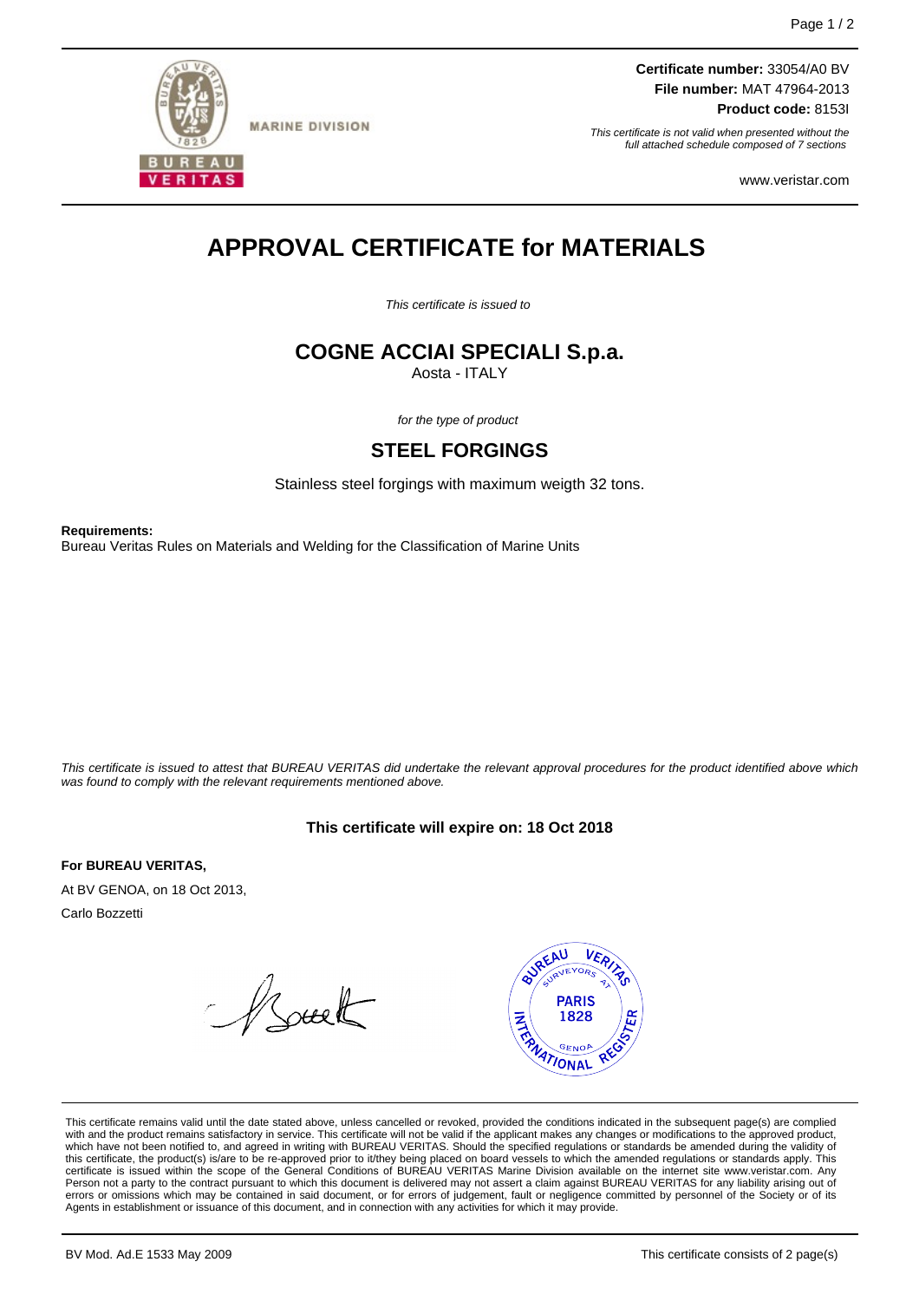

**MARINE DIVISION** 

**Certificate number:** 33054/A0 BV **File number:** MAT 47964-2013 **Product code:** 8153I

This certificate is not valid when presented without the full attached schedule composed of 7 sections

www.veristar.com

# **APPROVAL CERTIFICATE for MATERIALS**

This certificate is issued to

## **COGNE ACCIAI SPECIALI S.p.a.**

Aosta - ITALY

for the type of product

### **STEEL FORGINGS**

Stainless steel forgings with maximum weigth 32 tons.

**Requirements:** Bureau Veritas Rules on Materials and Welding for the Classification of Marine Units

This certificate is issued to attest that BUREAU VERITAS did undertake the relevant approval procedures for the product identified above which was found to comply with the relevant requirements mentioned above.

### **This certificate will expire on: 18 Oct 2018**

**For BUREAU VERITAS,** At BV GENOA, on 18 Oct 2013,

Carlo Bozzetti

Asuelt



This certificate remains valid until the date stated above, unless cancelled or revoked, provided the conditions indicated in the subsequent page(s) are complied with and the product remains satisfactory in service. This certificate will not be valid if the applicant makes any changes or modifications to the approved product,<br>this certificate, the product(s) is/are to be re-approve Person not a party to the contract pursuant to which this document is delivered may not assert a claim against BUREAU VERITAS for any liability arising out of errors or omissions which may be contained in said document, or for errors of judgement, fault or negligence committed by personnel of the Society or of its Agents in establishment or issuance of this document, and in connection with any activities for which it may provide.